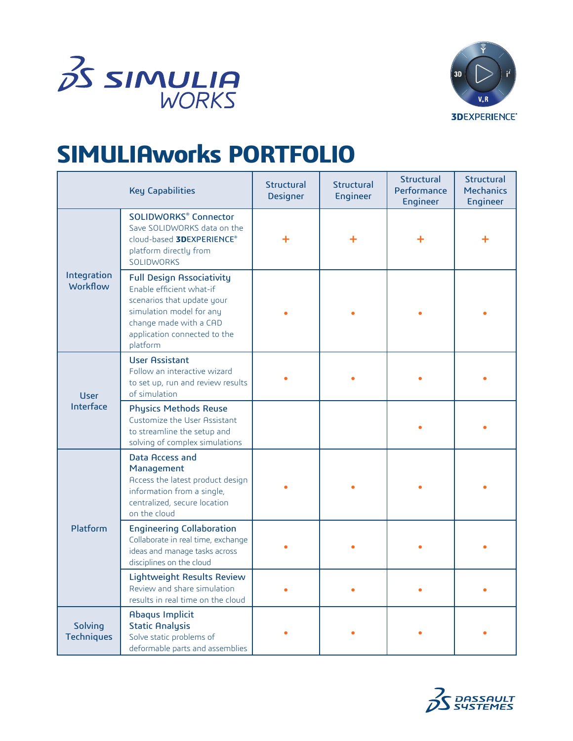



## **SIMULIAworks PORTFOLIO**

| <b>Key Capabilities</b>        |                                                                                                                                                                                              | Structural<br><b>Designer</b> | Structural<br><b>Engineer</b> | Structural<br>Performance<br>Engineer | <b>Structural</b><br><b>Mechanics</b><br><b>Engineer</b> |
|--------------------------------|----------------------------------------------------------------------------------------------------------------------------------------------------------------------------------------------|-------------------------------|-------------------------------|---------------------------------------|----------------------------------------------------------|
| Integration<br><b>Workflow</b> | <b>SOLIDWORKS® Connector</b><br>Save SOLIDWORKS data on the<br>cloud-based <b>3DEXPERIENCE®</b><br>platform directly from<br><b>SOLIDWORKS</b>                                               | ╋                             | ╋                             |                                       |                                                          |
|                                | <b>Full Design Associativity</b><br>Enable efficient what-if<br>scenarios that update your<br>simulation model for any<br>change made with a CAD<br>application connected to the<br>platform |                               |                               |                                       |                                                          |
| <b>User</b><br>Interface       | <b>User Assistant</b><br>Follow an interactive wizard<br>to set up, run and review results<br>of simulation                                                                                  |                               |                               |                                       |                                                          |
|                                | <b>Physics Methods Reuse</b><br>Customize the User Assistant<br>to streamline the setup and<br>solving of complex simulations                                                                |                               |                               |                                       |                                                          |
| Platform                       | Data Access and<br>Management<br>Access the latest product design<br>information from a single,<br>centralized, secure location<br>on the cloud                                              |                               |                               |                                       |                                                          |
|                                | <b>Engineering Collaboration</b><br>Collaborate in real time, exchange<br>ideas and manage tasks across<br>disciplines on the cloud                                                          |                               |                               |                                       |                                                          |
|                                | Lightweight Results Review<br>Review and share simulation<br>results in real time on the cloud                                                                                               |                               |                               |                                       |                                                          |
| Solving<br><b>Techniques</b>   | <b>Abaqus Implicit</b><br><b>Static Analysis</b><br>Solve static problems of<br>deformable parts and assemblies                                                                              |                               |                               |                                       |                                                          |

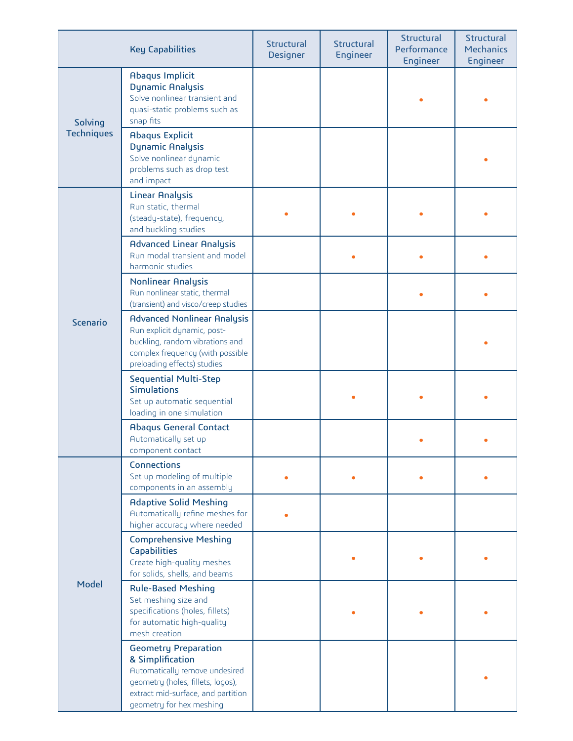|                              | <b>Key Capabilities</b>                                                                                                                                                                  | Structural<br><b>Designer</b> | <b>Structural</b><br><b>Engineer</b> | Structural<br>Performance<br><b>Engineer</b> | Structural<br><b>Mechanics</b><br><b>Engineer</b> |
|------------------------------|------------------------------------------------------------------------------------------------------------------------------------------------------------------------------------------|-------------------------------|--------------------------------------|----------------------------------------------|---------------------------------------------------|
| Solving<br><b>Techniques</b> | <b>Abaqus Implicit</b><br><b>Dynamic Analysis</b><br>Solve nonlinear transient and<br>quasi-static problems such as<br>snap fits                                                         |                               |                                      |                                              |                                                   |
|                              | <b>Abaqus Explicit</b><br><b>Dynamic Analysis</b><br>Solve nonlinear dynamic<br>problems such as drop test<br>and impact                                                                 |                               |                                      |                                              |                                                   |
| Scenario                     | <b>Linear Analysis</b><br>Run static, thermal<br>(steady-state), frequency,<br>and buckling studies                                                                                      |                               |                                      |                                              |                                                   |
|                              | <b>Advanced Linear Analysis</b><br>Run modal transient and model<br>harmonic studies                                                                                                     |                               |                                      |                                              |                                                   |
|                              | <b>Nonlinear Analysis</b><br>Run nonlinear static, thermal<br>(transient) and visco/creep studies                                                                                        |                               |                                      |                                              |                                                   |
|                              | <b>Advanced Nonlinear Analysis</b><br>Run explicit dynamic, post-<br>buckling, random vibrations and<br>complex frequency (with possible<br>preloading effects) studies                  |                               |                                      |                                              |                                                   |
|                              | <b>Sequential Multi-Step</b><br><b>Simulations</b><br>Set up automatic sequential<br>loading in one simulation                                                                           |                               |                                      |                                              |                                                   |
|                              | <b>Abaqus General Contact</b><br>Automatically set up<br>component contact                                                                                                               |                               |                                      |                                              |                                                   |
| Model                        | Connections<br>Set up modeling of multiple<br>components in an assembly                                                                                                                  |                               |                                      |                                              |                                                   |
|                              | <b>Adaptive Solid Meshing</b><br>Automatically refine meshes for<br>higher accuracy where needed                                                                                         |                               |                                      |                                              |                                                   |
|                              | <b>Comprehensive Meshing</b><br><b>Capabilities</b><br>Create high-quality meshes<br>for solids, shells, and beams                                                                       |                               |                                      |                                              |                                                   |
|                              | <b>Rule-Based Meshing</b><br>Set meshing size and<br>specifications (holes, fillets)<br>for automatic high-quality<br>mesh creation                                                      |                               |                                      |                                              |                                                   |
|                              | <b>Geometry Preparation</b><br>& Simplification<br>Automatically remove undesired<br>geometry (holes, fillets, logos),<br>extract mid-surface, and partition<br>geometry for hex meshing |                               |                                      |                                              |                                                   |